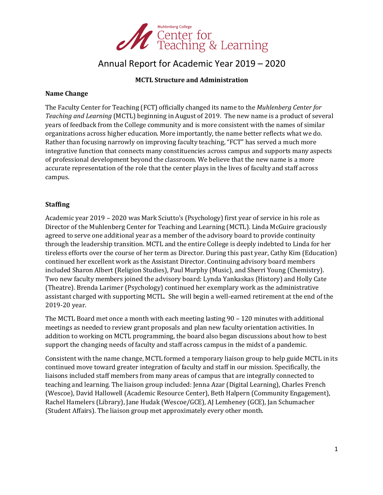

# Annual Report for Academic Year 2019 – 2020

# **MCTL Structure and Administration**

#### **Name Change**

The Faculty Center for Teaching (FCT) officially changed its name to the *Muhlenberg Center for Teaching and Learning* (MCTL) beginning in August of 2019. The new name is a product of several years of feedback from the College community and is more consistent with the names of similar organizations across higher education. More importantly, the name better reflects what we do. Rather than focusing narrowly on improving faculty teaching, "FCT" has served a much more integrative function that connects many constituencies across campus and supports many aspects of professional development beyond the classroom. We believe that the new name is a more accurate representation of the role that the center plays in the lives of faculty and staff across campus. 

### **Staffing**

Academic year 2019 – 2020 was Mark Sciutto's (Psychology) first year of service in his role as Director of the Muhlenberg Center for Teaching and Learning (MCTL). Linda McGuire graciously agreed to serve one additional year as a member of the advisory board to provide continuity through the leadership transition. MCTL and the entire College is deeply indebted to Linda for her tireless efforts over the course of her term as Director. During this past year, Cathy Kim (Education) continued her excellent work as the Assistant Director. Continuing advisory board members included Sharon Albert (Religion Studies), Paul Murphy (Music), and Sherri Young (Chemistry). Two new faculty members joined the advisory board: Lynda Yankaskas (History) and Holly Cate (Theatre). Brenda Larimer (Psychology) continued her exemplary work as the administrative assistant charged with supporting MCTL. She will begin a well-earned retirement at the end of the 2019-20 year. 

The MCTL Board met once a month with each meeting lasting  $90 - 120$  minutes with additional meetings as needed to review grant proposals and plan new faculty orientation activities. In addition to working on MCTL programming, the board also began discussions about how to best support the changing needs of faculty and staff across campus in the midst of a pandemic.

Consistent with the name change, MCTL formed a temporary liaison group to help guide MCTL in its continued move toward greater integration of faculty and staff in our mission. Specifically, the liaisons included staff members from many areas of campus that are integrally connected to teaching and learning. The liaison group included: Jenna Azar (Digital Learning), Charles French (Wescoe), David Hallowell (Academic Resource Center), Beth Halpern (Community Engagement), Rachel Hamelers (Library), Jane Hudak (Wescoe/GCE), AJ Lemheney (GCE), Jan Schumacher (Student Affairs). The liaison group met approximately every other month.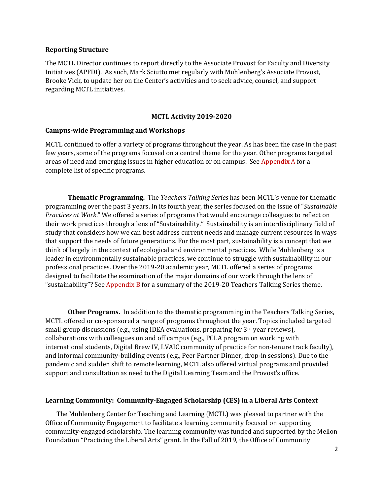#### **Reporting Structure**

The MCTL Director continues to report directly to the Associate Provost for Faculty and Diversity Initiatives (APFDI). As such, Mark Sciutto met regularly with Muhlenberg's Associate Provost, Brooke Vick, to update her on the Center's activities and to seek advice, counsel, and support regarding MCTL initiatives. 

#### **MCTL Activity 2019-2020**

#### **Campus-wide Programming and Workshops**

MCTL continued to offer a variety of programs throughout the year. As has been the case in the past few years, some of the programs focused on a central theme for the year. Other programs targeted areas of need and emerging issues in higher education or on campus. See Appendix A for a complete list of specific programs.

**Thematic Programming.** The *Teachers Talking Series* has been MCTL's venue for thematic programming over the past 3 years. In its fourth year, the series focused on the issue of "Sustainable *Practices at Work.*" We offered a series of programs that would encourage colleagues to reflect on their work practices through a lens of "Sustainability." Sustainability is an interdisciplinary field of study that considers how we can best address current needs and manage current resources in ways that support the needs of future generations. For the most part, sustainability is a concept that we think of largely in the context of ecological and environmental practices. While Muhlenberg is a leader in environmentally sustainable practices, we continue to struggle with sustainability in our professional practices. Over the 2019-20 academic year, MCTL offered a series of programs designed to facilitate the examination of the major domains of our work through the lens of "sustainability"? See Appendix B for a summary of the 2019-20 Teachers Talking Series theme.

**Other Programs.** In addition to the thematic programming in the Teachers Talking Series, MCTL offered or co-sponsored a range of programs throughout the year. Topics included targeted small group discussions (e.g., using IDEA evaluations, preparing for  $3<sup>rd</sup>$  year reviews), collaborations with colleagues on and off campus (e.g., PCLA program on working with international students, Digital Brew IV, LVAIC community of practice for non-tenure track faculty), and informal community-building events (e.g., Peer Partner Dinner, drop-in sessions). Due to the pandemic and sudden shift to remote learning, MCTL also offered virtual programs and provided support and consultation as need to the Digital Learning Team and the Provost's office.

#### Learning Community: Community-Engaged Scholarship (CES) in a Liberal Arts Context

The Muhlenberg Center for Teaching and Learning (MCTL) was pleased to partner with the Office of Community Engagement to facilitate a learning community focused on supporting community-engaged scholarship. The learning community was funded and supported by the Mellon Foundation "Practicing the Liberal Arts" grant. In the Fall of 2019, the Office of Community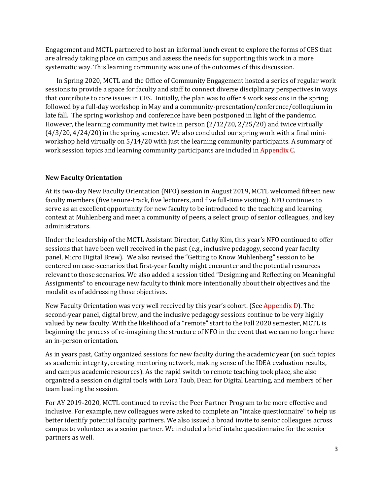Engagement and MCTL partnered to host an informal lunch event to explore the forms of CES that are already taking place on campus and assess the needs for supporting this work in a more systematic way. This learning community was one of the outcomes of this discussion.

In Spring 2020, MCTL and the Office of Community Engagement hosted a series of regular work sessions to provide a space for faculty and staff to connect diverse disciplinary perspectives in ways that contribute to core issues in CES. Initially, the plan was to offer 4 work sessions in the spring followed by a full-day workshop in May and a community-presentation/conference/colloquium in late fall. The spring workshop and conference have been postponed in light of the pandemic. However, the learning community met twice in person  $(2/12/20, 2/25/20)$  and twice virtually  $(4/3/20, 4/24/20)$  in the spring semester. We also concluded our spring work with a final miniworkshop held virtually on  $5/14/20$  with just the learning community participants. A summary of work session topics and learning community participants are included in Appendix C.

### **New Faculty Orientation**

At its two-day New Faculty Orientation (NFO) session in August 2019, MCTL welcomed fifteen new faculty members (five tenure-track, five lecturers, and five full-time visiting). NFO continues to serve as an excellent opportunity for new faculty to be introduced to the teaching and learning context at Muhlenberg and meet a community of peers, a select group of senior colleagues, and key administrators. 

Under the leadership of the MCTL Assistant Director, Cathy Kim, this year's NFO continued to offer sessions that have been well received in the past  $(e.g.,$  inclusive pedagogy, second year faculty panel, Micro Digital Brew). We also revised the "Getting to Know Muhlenberg" session to be centered on case-scenarios that first-year faculty might encounter and the potential resources relevant to those scenarios. We also added a session titled "Designing and Reflecting on Meaningful Assignments" to encourage new faculty to think more intentionally about their objectives and the modalities of addressing those objectives.

New Faculty Orientation was very well received by this year's cohort. (See Appendix D). The second-year panel, digital brew, and the inclusive pedagogy sessions continue to be very highly valued by new faculty. With the likelihood of a "remote" start to the Fall 2020 semester, MCTL is beginning the process of re-imagining the structure of NFO in the event that we can no longer have an in-person orientation.

As in years past, Cathy organized sessions for new faculty during the academic year (on such topics as academic integrity, creating mentoring network, making sense of the IDEA evaluation results, and campus academic resources). As the rapid switch to remote teaching took place, she also organized a session on digital tools with Lora Taub, Dean for Digital Learning, and members of her team leading the session.

For AY 2019-2020, MCTL continued to revise the Peer Partner Program to be more effective and inclusive. For example, new colleagues were asked to complete an "intake questionnaire" to help us better identify potential faculty partners. We also issued a broad invite to senior colleagues across campus to volunteer as a senior partner. We included a brief intake questionnaire for the senior partners as well.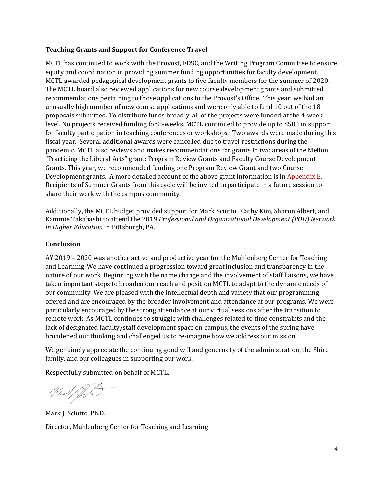## **Teaching Grants and Support for Conference Travel**

MCTL has continued to work with the Provost, FDSC, and the Writing Program Committee to ensure equity and coordination in providing summer funding opportunities for faculty development. MCTL awarded pedagogical development grants to five faculty members for the summer of 2020. The MCTL board also reviewed applications for new course development grants and submitted recommendations pertaining to those applications to the Provost's Office. This year, we had an unusually high number of new course applications and were only able to fund 10 out of the 18 proposals submitted. To distribute funds broadly, all of the projects were funded at the 4-week level. No projects received funding for 8-weeks. MCTL continued to provide up to \$500 in support for faculty participation in teaching conferences or workshops. Two awards were made during this fiscal year. Several additional awards were cancelled due to travel restrictions during the pandemic. MCTL also reviews and makes recommendations for grants in two areas of the Mellon "Practicing the Liberal Arts" grant: Program Review Grants and Faculty Course Development Grants. This year, we recommended funding one Program Review Grant and two Course Development grants. A more detailed account of the above grant information is in Appendix E. Recipients of Summer Grants from this cycle will be invited to participate in a future session to share their work with the campus community.

Additionally, the MCTL budget provided support for Mark Sciutto, Cathy Kim, Sharon Albert, and Kammie Takahashi to attend the 2019 Professional and Organizational Development (POD) Network *in Higher Education* in Pittsburgh, PA.

## **Conclusion**

AY 2019 - 2020 was another active and productive year for the Muhlenberg Center for Teaching and Learning. We have continued a progression toward great inclusion and transparency in the nature of our work. Beginning with the name change and the involvement of staff liaisons, we have taken important steps to broaden our reach and position MCTL to adapt to the dynamic needs of our community. We are pleased with the intellectual depth and variety that our programming offered and are encouraged by the broader involvement and attendance at our programs. We were particularly encouraged by the strong attendance at our virtual sessions after the transition to remote work. As MCTL continues to struggle with challenges related to time constraints and the lack of designated faculty/staff development space on campus, the events of the spring have broadened our thinking and challenged us to re-imagine how we address our mission.

We genuinely appreciate the continuing good will and generosity of the administration, the Shire family, and our colleagues in supporting our work.

Respectfully submitted on behalf of MCTL,

Mul/ft

Mark J. Sciutto, Ph.D. Director, Muhlenberg Center for Teaching and Learning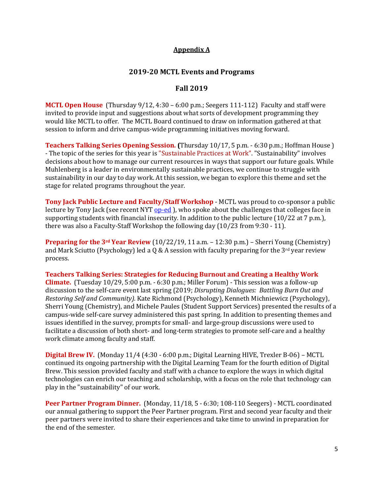## **Appendix A**

## **2019-20 MCTL Events and Programs**

## **Fall 2019**

**MCTL Open House** (Thursday 9/12, 4:30 – 6:00 p.m.; Seegers 111-112) Faculty and staff were invited to provide input and suggestions about what sorts of development programming they would like MCTL to offer. The MCTL Board continued to draw on information gathered at that session to inform and drive campus-wide programming initiatives moving forward.

**Teachers Talking Series Opening Session.** (Thursday 10/17, 5 p.m. - 6:30 p.m.; Hoffman House) - The topic of the series for this year is "Sustainable Practices at Work". "Sustainability" involves decisions about how to manage our current resources in ways that support our future goals. While Muhlenberg is a leader in environmentally sustainable practices, we continue to struggle with sustainability in our day to day work. At this session, we began to explore this theme and set the stage for related programs throughout the year.

**Tony Jack Public Lecture and Faculty/Staff Workshop** - MCTL was proud to co-sponsor a public lecture by Tony Jack (see recent NYT op-ed ), who spoke about the challenges that colleges face in supporting students with financial insecurity. In addition to the public lecture  $(10/22 \text{ at } 7 \text{ p.m.})$ . there was also a Faculty-Staff Workshop the following day  $(10/23$  from 9:30 - 11).

**Preparing for the 3<sup>rd</sup> Year Review** (10/22/19, 11  $\text{a.m.} - 12:30 \text{ p.m.}$ ) – Sherri Young (Chemistry) and Mark Sciutto (Psychology) led a Q & A session with faculty preparing for the  $3^{rd}$  year review process.

**Teachers Talking Series: Strategies for Reducing Burnout and Creating a Healthy Work Climate.** (Tuesday 10/29, 5:00 p.m. - 6:30 p.m.; Miller Forum) - This session was a follow-up discussion to the self-care event last spring (2019; *Disrupting Dialogues: Battling Burn Out and Restoring Self and Community).* Kate Richmond (Psychology), Kenneth Michniewicz (Psychology), Sherri Young (Chemistry), and Michele Paules (Student Support Services) presented the results of a campus-wide self-care survey administered this past spring. In addition to presenting themes and issues identified in the survey, prompts for small- and large-group discussions were used to facilitate a discussion of both short- and long-term strategies to promote self-care and a healthy work climate among faculty and staff.

**Digital Brew IV.** (Monday 11/4 (4:30 - 6:00 p.m.; Digital Learning HIVE, Trexler B-06) – MCTL continued its ongoing partnership with the Digital Learning Team for the fourth edition of Digital Brew. This session provided faculty and staff with a chance to explore the ways in which digital technologies can enrich our teaching and scholarship, with a focus on the role that technology can play in the "sustainability" of our work.

**Peer Partner Program Dinner.** (Monday, 11/18, 5 - 6:30; 108-110 Seegers) - MCTL coordinated our annual gathering to support the Peer Partner program. First and second year faculty and their peer partners were invited to share their experiences and take time to unwind in preparation for the end of the semester.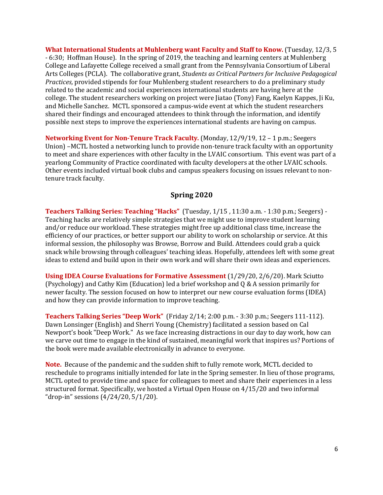**What International Students at Muhlenberg want Faculty and Staff to Know.** (Tuesday, 12/3, 5) - 6:30; Hoffman House). In the spring of 2019, the teaching and learning centers at Muhlenberg College and Lafayette College received a small grant from the Pennsylvania Consortium of Liberal Arts Colleges (PCLA). The collaborative grant, *Students as Critical Partners for Inclusive Pedagogical Practices,* provided stipends for four Muhlenberg student researchers to do a preliminary study related to the academic and social experiences international students are having here at the college. The student researchers working on project were liatao (Tony) Fang, Kaelyn Kappes, li Ku, and Michelle Sanchez. MCTL sponsored a campus-wide event at which the student researchers shared their findings and encouraged attendees to think through the information, and identify possible next steps to improve the experiences international students are having on campus.

**Networking Event for Non-Tenure Track Faculty.** (Monday, 12/9/19, 12 – 1 p.m.; Seegers Union) –MCTL hosted a networking lunch to provide non-tenure track faculty with an opportunity to meet and share experiences with other faculty in the LVAIC consortium. This event was part of a yearlong Community of Practice coordinated with faculty developers at the other LVAIC schools. Other events included virtual book clubs and campus speakers focusing on issues relevant to nontenure track faculty.

#### **Spring 2020**

Teachers Talking Series: Teaching "Hacks" (Tuesday, 1/15, 11:30 a.m. - 1:30 p.m.; Seegers) -Teaching hacks are relatively simple strategies that we might use to improve student learning and/or reduce our workload. These strategies might free up additional class time, increase the efficiency of our practices, or better support our ability to work on scholarship or service. At this informal session, the philosophy was Browse, Borrow and Build. Attendees could grab a quick snack while browsing through colleagues' teaching ideas. Hopefully, attendees left with some great ideas to extend and build upon in their own work and will share their own ideas and experiences.

**Using IDEA Course Evaluations for Formative Assessment** (1/29/20, 2/6/20). Mark Sciutto (Psychology) and Cathy Kim (Education) led a brief workshop and Q & A session primarily for newer faculty. The session focused on how to interpret our new course evaluation forms (IDEA) and how they can provide information to improve teaching.

**Teachers Talking Series "Deep Work"** (Friday 2/14; 2:00 p.m. - 3:30 p.m.; Seegers 111-112). Dawn Lonsinger (English) and Sherri Young (Chemistry) facilitated a session based on Cal Newport's book "Deep Work." As we face increasing distractions in our day to day work, how can we carve out time to engage in the kind of sustained, meaningful work that inspires us? Portions of the book were made available electronically in advance to everyone.

**Note.** Because of the pandemic and the sudden shift to fully remote work, MCTL decided to reschedule to programs initially intended for late in the Spring semester. In lieu of those programs, MCTL opted to provide time and space for colleagues to meet and share their experiences in a less structured format. Specifically, we hosted a Virtual Open House on 4/15/20 and two informal "drop-in" sessions  $(4/24/20, 5/1/20)$ .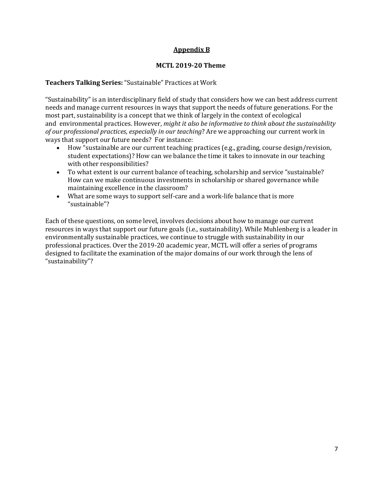# **Appendix B**

#### **MCTL 2019-20 Theme**

#### Teachers Talking Series: "Sustainable" Practices at Work

"Sustainability" is an interdisciplinary field of study that considers how we can best address current needs and manage current resources in ways that support the needs of future generations. For the most part, sustainability is a concept that we think of largely in the context of ecological and environmental practices. However, *might it also be informative to think about the sustainability of our professional practices, especially in our teaching?* Are we approaching our current work in ways that support our future needs? For instance:

- How "sustainable are our current teaching practices (e.g., grading, course design/revision, student expectations)? How can we balance the time it takes to innovate in our teaching with other responsibilities?
- To what extent is our current balance of teaching, scholarship and service "sustainable? How can we make continuous investments in scholarship or shared governance while maintaining excellence in the classroom?
- What are some ways to support self-care and a work-life balance that is more "sustainable"?

Each of these questions, on some level, involves decisions about how to manage our current resources in ways that support our future goals (i.e., sustainability). While Muhlenberg is a leader in environmentally sustainable practices, we continue to struggle with sustainability in our professional practices. Over the 2019-20 academic year, MCTL will offer a series of programs designed to facilitate the examination of the major domains of our work through the lens of "sustainability"?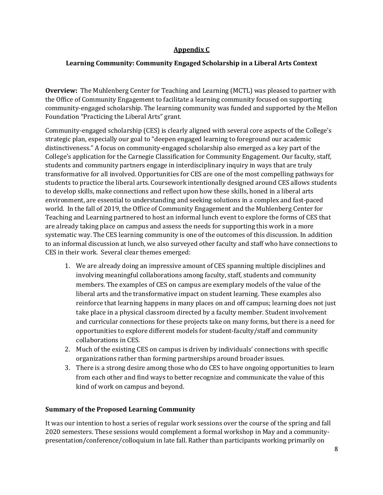# **Appendix C**

# Learning Community: Community Engaged Scholarship in a Liberal Arts Context

**Overview:** The Muhlenberg Center for Teaching and Learning (MCTL) was pleased to partner with the Office of Community Engagement to facilitate a learning community focused on supporting community-engaged scholarship. The learning community was funded and supported by the Mellon Foundation "Practicing the Liberal Arts" grant.

Community-engaged scholarship (CES) is clearly aligned with several core aspects of the College's strategic plan, especially our goal to "deepen engaged learning to foreground our academic distinctiveness." A focus on community-engaged scholarship also emerged as a key part of the College's application for the Carnegie Classification for Community Engagement. Our faculty, staff, students and community partners engage in interdisciplinary inquiry in ways that are truly transformative for all involved. Opportunities for CES are one of the most compelling pathways for students to practice the liberal arts. Coursework intentionally designed around CES allows students to develop skills, make connections and reflect upon how these skills, honed in a liberal arts environment, are essential to understanding and seeking solutions in a complex and fast-paced world. In the fall of 2019, the Office of Community Engagement and the Muhlenberg Center for Teaching and Learning partnered to host an informal lunch event to explore the forms of CES that are already taking place on campus and assess the needs for supporting this work in a more systematic way. The CES learning community is one of the outcomes of this discussion. In addition to an informal discussion at lunch, we also surveyed other faculty and staff who have connections to CES in their work. Several clear themes emerged:

- 1. We are already doing an impressive amount of CES spanning multiple disciplines and involving meaningful collaborations among faculty, staff, students and community members. The examples of CES on campus are exemplary models of the value of the liberal arts and the transformative impact on student learning. These examples also reinforce that learning happens in many places on and off campus; learning does not just take place in a physical classroom directed by a faculty member. Student involvement and curricular connections for these projects take on many forms, but there is a need for opportunities to explore different models for student-faculty/staff and community collaborations in CES.
- 2. Much of the existing CES on campus is driven by individuals' connections with specific organizations rather than forming partnerships around broader issues.
- 3. There is a strong desire among those who do CES to have ongoing opportunities to learn from each other and find ways to better recognize and communicate the value of this kind of work on campus and beyond.

### **Summary of the Proposed Learning Community**

It was our intention to host a series of regular work sessions over the course of the spring and fall 2020 semesters. These sessions would complement a formal workshop in May and a communitypresentation/conference/colloquium in late fall. Rather than participants working primarily on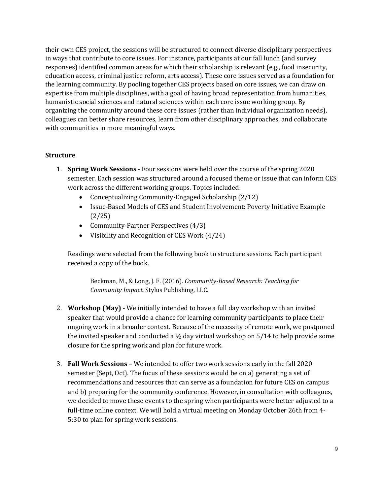their own CES project, the sessions will be structured to connect diverse disciplinary perspectives in ways that contribute to core issues. For instance, participants at our fall lunch (and survey responses) identified common areas for which their scholarship is relevant  $(e.g., food insectivity,$ education access, criminal justice reform, arts access). These core issues served as a foundation for the learning community. By pooling together CES projects based on core issues, we can draw on expertise from multiple disciplines, with a goal of having broad representation from humanities, humanistic social sciences and natural sciences within each core issue working group. By organizing the community around these core issues (rather than individual organization needs), colleagues can better share resources, learn from other disciplinary approaches, and collaborate with communities in more meaningful ways.

#### **Structure**

- 1. **Spring Work Sessions** Four sessions were held over the course of the spring 2020 semester. Each session was structured around a focused theme or issue that can inform CES work across the different working groups. Topics included:
	- Conceptualizing Community-Engaged Scholarship (2/12)
	- Issue-Based Models of CES and Student Involvement: Poverty Initiative Example (2/25)
	- Community-Partner Perspectives  $(4/3)$
	- Visibility and Recognition of CES Work  $(4/24)$

Readings were selected from the following book to structure sessions. Each participant received a copy of the book.

Beckman, M., & Long, J. F. (2016). *Community-Based Research: Teaching for Community Impact.* Stylus Publishing, LLC.

- 2. **Workshop (May)** We initially intended to have a full day workshop with an invited speaker that would provide a chance for learning community participants to place their ongoing work in a broader context. Because of the necessity of remote work, we postponed the invited speaker and conducted a  $\frac{1}{2}$  day virtual workshop on 5/14 to help provide some closure for the spring work and plan for future work.
- 3. **Fall Work Sessions** We intended to offer two work sessions early in the fall 2020 semester (Sept, Oct). The focus of these sessions would be on a) generating a set of recommendations and resources that can serve as a foundation for future CES on campus and b) preparing for the community conference. However, in consultation with colleagues, we decided to move these events to the spring when participants were better adjusted to a full-time online context. We will hold a virtual meeting on Monday October 26th from 4-5:30 to plan for spring work sessions.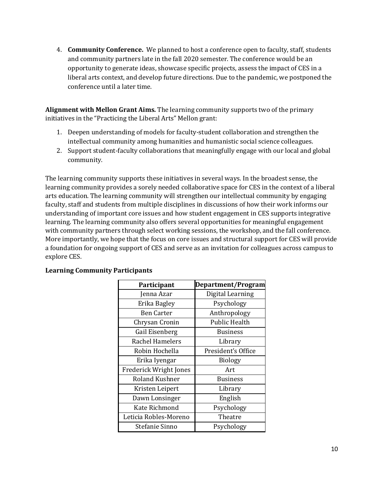4. **Community Conference.** We planned to host a conference open to faculty, staff, students and community partners late in the fall 2020 semester. The conference would be an opportunity to generate ideas, showcase specific projects, assess the impact of CES in a liberal arts context, and develop future directions. Due to the pandemic, we postponed the conference until a later time.

Alignment with Mellon Grant Aims. The learning community supports two of the primary initiatives in the "Practicing the Liberal Arts" Mellon grant:

- 1. Deepen understanding of models for faculty-student collaboration and strengthen the intellectual community among humanities and humanistic social science colleagues.
- 2. Support student-faculty collaborations that meaningfully engage with our local and global community.

The learning community supports these initiatives in several ways. In the broadest sense, the learning community provides a sorely needed collaborative space for CES in the context of a liberal arts education. The learning community will strengthen our intellectual community by engaging faculty, staff and students from multiple disciplines in discussions of how their work informs our understanding of important core issues and how student engagement in CES supports integrative learning. The learning community also offers several opportunities for meaningful engagement with community partners through select working sessions, the workshop, and the fall conference. More importantly, we hope that the focus on core issues and structural support for CES will provide a foundation for ongoing support of CES and serve as an invitation for colleagues across campus to explore CES.

| Participant                   | Department/Program |
|-------------------------------|--------------------|
| Jenna Azar                    | Digital Learning   |
| Erika Bagley                  | Psychology         |
| <b>Ben Carter</b>             | Anthropology       |
| Chrysan Cronin                | Public Health      |
| Gail Eisenberg                | <b>Business</b>    |
| Rachel Hamelers               | Library            |
| Robin Hochella                | President's Office |
| Erika Iyengar                 | <b>Biology</b>     |
| <b>Frederick Wright Jones</b> | Art                |
| Roland Kushner                | <b>Business</b>    |
| Kristen Leipert               | Library            |
| Dawn Lonsinger                | English            |
| Kate Richmond                 | Psychology         |
| Leticia Robles-Moreno         | Theatre            |
| Stefanie Sinno                | Psychology         |

# **Learning Community Participants**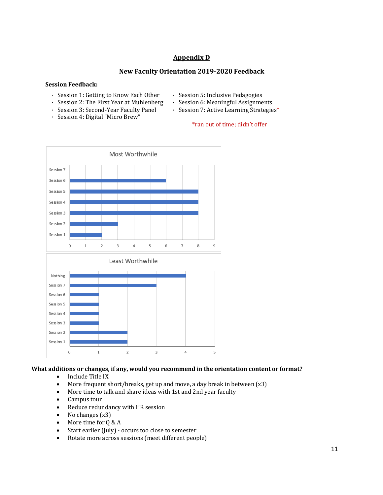## **Appendix D**

#### **New Faculty Orientation 2019-2020 Feedback**

#### **Session Feedback:**

- · Session 1: Getting to Know Each Other • Session 2: The First Year at Muhlenberg
- · Session 5: Inclusive Pedagogies
- · Session 6: Meaningful Assignments
- · Session 7: Active Learning Strategies\*
- · Session 3: Second-Year Faculty Panel · Session 4: Digital "Micro Brew"
- \*ran out of time; didn't offer



### What additions or changes, if any, would you recommend in the orientation content or format?

- Include Title IX
- More frequent short/breaks, get up and move, a day break in between  $(x3)$
- More time to talk and share ideas with 1st and 2nd year faculty
- Campus tour
- Reduce redundancy with HR session
- No changes  $(x3)$
- More time for  $Q & A$
- Start earlier (July) occurs too close to semester
- Rotate more across sessions (meet different people)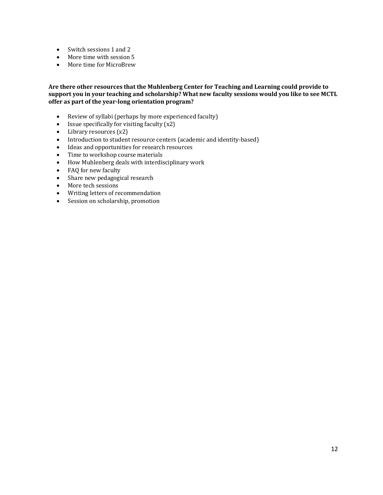- Switch sessions 1 and 2
- More time with session 5
- More time for MicroBrew

#### Are there other resources that the Muhlenberg Center for Teaching and Learning could provide to support you in your teaching and scholarship? What new faculty sessions would you like to see MCTL offer as part of the year-long orientation program?

- Review of syllabi (perhaps by more experienced faculty)
- Issue specifically for visiting faculty  $(x2)$
- Library resources  $(x2)$
- Introduction to student resource centers (academic and identity-based)
- Ideas and opportunities for research resources
- Time to workshop course materials
- How Muhlenberg deals with interdisciplinary work
- FAQ for new faculty
- Share new pedagogical research
- More tech sessions
- Writing letters of recommendation
- Session on scholarship, promotion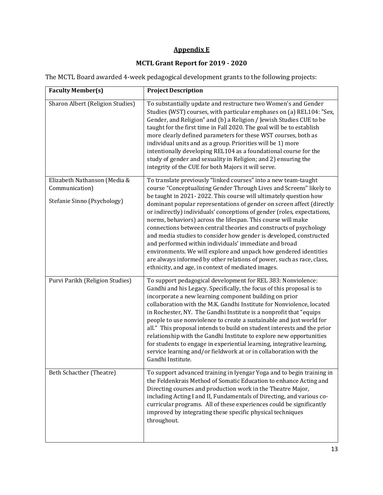# **Appendix** E

# **MCTL Grant Report for 2019 - 2020**

The MCTL Board awarded 4-week pedagogical development grants to the following projects:

| <b>Faculty Member(s)</b>                                                      | <b>Project Description</b>                                                                                                                                                                                                                                                                                                                                                                                                                                                                                                                                                                                                                                                                                                                                                                                                            |
|-------------------------------------------------------------------------------|---------------------------------------------------------------------------------------------------------------------------------------------------------------------------------------------------------------------------------------------------------------------------------------------------------------------------------------------------------------------------------------------------------------------------------------------------------------------------------------------------------------------------------------------------------------------------------------------------------------------------------------------------------------------------------------------------------------------------------------------------------------------------------------------------------------------------------------|
| <b>Sharon Albert (Religion Studies)</b>                                       | To substantially update and restructure two Women's and Gender<br>Studies (WST) courses, with particular emphases on (a) REL104: "Sex,<br>Gender, and Religion" and (b) a Religion / Jewish Studies CUE to be<br>taught for the first time in Fall 2020. The goal will be to establish<br>more clearly defined parameters for these WST courses, both as<br>individual units and as a group. Priorities will be 1) more<br>intentionally developing REL104 as a foundational course for the<br>study of gender and sexuality in Religion; and 2) ensuring the<br>integrity of the CUE for both Majors it will serve.                                                                                                                                                                                                                  |
| Elizabeth Nathanson (Media &<br>Communication)<br>Stefanie Sinno (Psychology) | To translate previously "linked courses" into a new team-taught<br>course "Conceptualizing Gender Through Lives and Screens" likely to<br>be taught in 2021-2022. This course will ultimately question how<br>dominant popular representations of gender on screen affect (directly<br>or indirectly) individuals' conceptions of gender (roles, expectations,<br>norms, behaviors) across the lifespan. This course will make<br>connections between central theories and constructs of psychology<br>and media studies to consider how gender is developed, constructed<br>and performed within individuals' immediate and broad<br>environments. We will explore and unpack how gendered identities<br>are always informed by other relations of power, such as race, class,<br>ethnicity, and age, in context of mediated images. |
| Purvi Parikh (Religion Studies)                                               | To support pedagogical development for REL 383: Nonviolence:<br>Gandhi and his Legacy. Specifically, the focus of this proposal is to<br>incorporate a new learning component building on prior<br>collaboration with the M.K. Gandhi Institute for Nonviolence, located<br>in Rochester, NY. The Gandhi Institute is a nonprofit that "equips<br>people to use nonviolence to create a sustainable and just world for<br>all." This proposal intends to build on student interests and the prior<br>relationship with the Gandhi Institute to explore new opportunities<br>for students to engage in experiential learning, integrative learning,<br>service learning and/or fieldwork at or in collaboration with the<br>Gandhi Institute.                                                                                          |
| Beth Schacther (Theatre)                                                      | To support advanced training in Iyengar Yoga and to begin training in<br>the Feldenkrais Method of Somatic Education to enhance Acting and<br>Directing courses and production work in the Theatre Major,<br>including Acting I and II, Fundamentals of Directing, and various co-<br>curricular programs. All of these experiences could be significantly<br>improved by integrating these specific physical techniques<br>throughout.                                                                                                                                                                                                                                                                                                                                                                                               |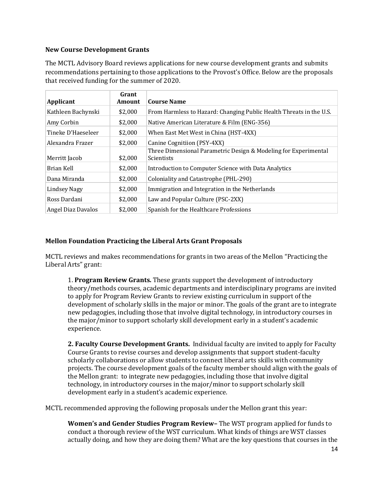#### **New Course Development Grants**

The MCTL Advisory Board reviews applications for new course development grants and submits recommendations pertaining to those applications to the Provost's Office. Below are the proposals that received funding for the summer of 2020.

| Applicant           | Grant<br>Amount | <b>Course Name</b>                                                                   |
|---------------------|-----------------|--------------------------------------------------------------------------------------|
| Kathleen Bachynski  | \$2,000         | From Harmless to Hazard: Changing Public Health Threats in the U.S.                  |
| Amy Corbin          | \$2,000         | Native American Literature & Film (ENG-356)                                          |
| Tineke D'Haeseleer  | \$2,000         | When East Met West in China (HST-4XX)                                                |
| Alexandra Frazer    | \$2,000         | Canine Cognitiion (PSY-4XX)                                                          |
| Merritt Jacob       | \$2,000         | Three Dimensional Parametric Design & Modeling for Experimental<br><b>Scientists</b> |
| Brian Kell          | \$2.000         | Introduction to Computer Science with Data Analytics                                 |
| Dana Miranda        | \$2,000         | Coloniality and Catastrophe (PHL-290)                                                |
| <b>Lindsey Nagy</b> | \$2,000         | Immigration and Integration in the Netherlands                                       |
| Ross Dardani        | \$2,000         | Law and Popular Culture (PSC-2XX)                                                    |
| Angel Diaz Davalos  | \$2.000         | Spanish for the Healthcare Professions                                               |

### **Mellon Foundation Practicing the Liberal Arts Grant Proposals**

MCTL reviews and makes recommendations for grants in two areas of the Mellon "Practicing the Liberal Arts" grant:

**1. Program Review Grants.** These grants support the development of introductory theory/methods courses, academic departments and interdisciplinary programs are invited to apply for Program Review Grants to review existing curriculum in support of the development of scholarly skills in the major or minor. The goals of the grant are to integrate new pedagogies, including those that involve digital technology, in introductory courses in the major/minor to support scholarly skill development early in a student's academic experience.

**2. Faculty Course Development Grants.** Individual faculty are invited to apply for Faculty Course Grants to revise courses and develop assignments that support student-faculty scholarly collaborations or allow students to connect liberal arts skills with community projects. The course development goals of the faculty member should align with the goals of the Mellon grant: to integrate new pedagogies, including those that involve digital technology, in introductory courses in the major/minor to support scholarly skill development early in a student's academic experience.

MCTL recommended approving the following proposals under the Mellon grant this year:

**Women's and Gender Studies Program Review–** The WST program applied for funds to conduct a thorough review of the WST curriculum. What kinds of things are WST classes actually doing, and how they are doing them? What are the key questions that courses in the